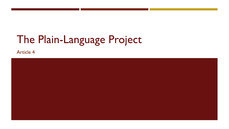# The Plain-Language Project

**Article 4** 

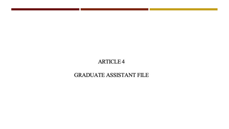#### **ARTICLE 4**

#### **GRADUATE ASSISTANT FILE**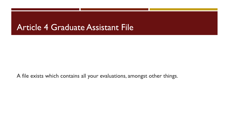#### **Article 4 Graduate Assistant File**

A file exists which contains all your evaluations, amongst other things.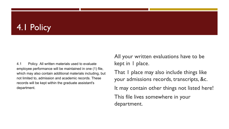# 4.1 Policy

4.1 Policy. All written materials used to evaluate employee performance will be maintained in one (1) file, which may also contain additional materials including, but not limited to, admission and academic records. These records will be kept within the graduate assistant's department.

All your written evaluations have to be kept in I place.

That I place may also include things like your admissions records, transcripts, &c. It may contain other things not listed here! This file lives somewhere in your department.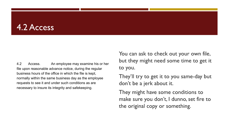#### 4.2 Access

 $4.2$ An employee may examine his or her Access. file upon reasonable advance notice, during the regular business hours of the office in which the file is kept, normally within the same business day as the employee requests to see it and under such conditions as are necessary to insure its integrity and safekeeping.

You can ask to check out your own file, but they might need some time to get it to you.

They'll try to get it to you same-day but don't be a jerk about it.

They might have some conditions to make sure you don't, I dunno, set fire to the original copy or something.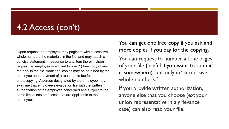# 4.2 Access (con't)

Upon request, an employee may paginate with successive whole numbers the materials in the file, and may attach a concise statement in response to any item therein. Upon request, an employee is entitled to one (1) free copy of any material in the file. Additional copies may be obtained by the employee upon payment of a reasonable fee for photocopying. A person designated by the employee may examine that employee's evaluation file with the written authorization of the employee concerned and subject to the same limitations on access that are applicable to the employee.

You can get one free copy if you ask and more copies if you pay for the copying.

You can request to number all the pages of your file (useful if you want to submit it somewhere), but only in "successive whole numbers."

If you provide written authorization, anyone else that you choose (ex: your union representative in a grievance case) can also read your file.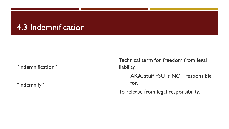### 4.3 Indemnification

"Indemnification"

"Indemnify"

Technical term for freedom from legal liability.

> AKA, stuff FSU is NOT responsible for.

To release from legal responsibility.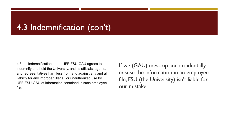# 4.3 Indemnification (con't)

4.3 Indemnification. UFF-FSU-GAU agrees to indemnify and hold the University, and its officials, agents, and representatives harmless from and against any and all liability for any improper, illegal, or unauthorized use by UFF-FSU-GAU of information contained in such employee file.

If we (GAU) mess up and accidentally misuse the information in an employee file, FSU (the University) isn't liable for our mistake.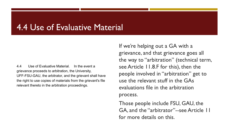#### 4.4 Use of Evaluative Material

4.4 Use of Evaluative Material. In the event a grievance proceeds to arbitration, the University, UFF-FSU-GAU, the arbitrator, and the grievant shall have the right to use copies of materials from the grievant's file relevant thereto in the arbitration proceedings.

If we're helping out a GA with a grievance, and that grievance goes all the way to "arbitration" (technical term, see Article 11.8.F for this), then the people involved in "arbitration" get to use the relevant stuff in the GAs evaluations file in the arbitration process.

Those people include FSU, GAU, the GA, and the "arbitrator"--see Article 11 for more details on this.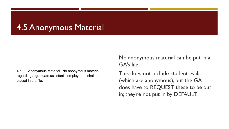# **4.5 Anonymous Material**

4.5 Anonymous Material. No anonymous material regarding a graduate assistant's employment shall be placed in the file.

No anonymous material can be put in a GA's file.

This does not include student evals (which are anonymous), but the GA does have to REQUEST these to be put in; they're not put in by DEFAULT.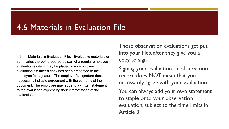### 4.6 Materials in Evaluation File

Materials in Evaluation File. Evaluative materials or 4.6 summaries thereof, prepared as part of a regular employee evaluation system, may be placed in an employee evaluation file after a copy has been presented to the employee for signature. The employee's signature does not necessarily indicate agreement with the contents of the document. The employee may append a written statement to the evaluation expressing their interpretation of the evaluation.

Those observation evaluations get put into your files, after they give you a copy to sign.

Signing your evaluation or observation record does NOT mean that you necessarily agree with your evaluation.

You can always add your own statement to staple onto your observation evaluation, subject to the time limits in Article 3.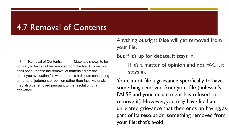### 4.7 Removal of Contents

Materials shown to be 4.7 Removal of Contents. contrary to fact shall be removed from the file. This section shall not authorize the removal of materials from the employee evaluation file when there is a dispute concerning a matter of judgment or opinion rather than fact. Materials may also be removed pursuant to the resolution of a grievance.

Anything outright false will get removed from your file.

But if it's up for debate, it stays in.

If it's a matter of opinion and not FACT, it stays in.

You cannot file a grievance specifically to have something removed from your file (unless it's FALSE and your department has refused to remove it). However, you may have filed an unrelated grievance that then ends up having, as part of its resolution, something removed from your file: that's a-ok!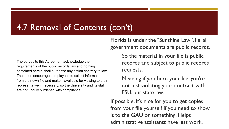### 4.7 Removal of Contents (con't)

The parties to this Agreement acknowledge the requirements of the public records law and nothing contained herein shall authorize any action contrary to law. The union encourages employees to collect information from their own file and make it available for viewing to their representative if necessary, so the University and its staff are not unduly burdened with compliance.

Florida is under the "Sunshine Law", i.e. all government documents are public records.

> So the material in your file is public records and subject to public records requests.

Meaning if you burn your file, you're not just violating your contract with FSU, but state law.

If possible, it's nice for you to get copies from your file yourself if you need to show it to the GAU or something. Helps administrative assistants have less work.